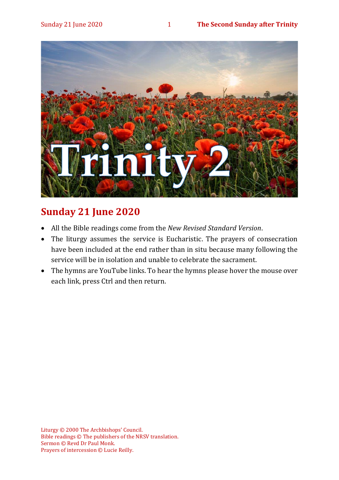

# **Sunday 21 June 2020**

- All the Bible readings come from the *New Revised Standard Version*.
- The liturgy assumes the service is Eucharistic. The prayers of consecration have been included at the end rather than in situ because many following the service will be in isolation and unable to celebrate the sacrament.
- The hymns are YouTube links. To hear the hymns please hover the mouse over each link, press Ctrl and then return.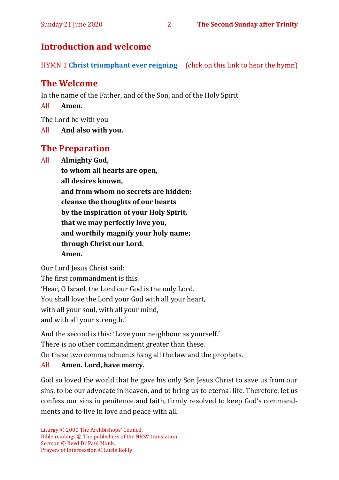# **Introduction and welcome**

HYMN 1 **[Christ triumphant ever reigning](https://youtu.be/N5Xz9V-6JPA)** (click on this link to hear the hymn)

# **The Welcome**

In the name of the Father, and of the Son, and of the Holy Spirit

All **Amen.**

The Lord be with you

All **And also with you.**

# **The Preparation**

All **Almighty God,**

**to whom all hearts are open, all desires known, and from whom no secrets are hidden: cleanse the thoughts of our hearts by the inspiration of your Holy Spirit, that we may perfectly love you, and worthily magnify your holy name; through Christ our Lord. Amen.**

Our Lord Jesus Christ said:

The first commandment is this: 'Hear, O Israel, the Lord our God is the only Lord. You shall love the Lord your God with all your heart, with all your soul, with all your mind, and with all your strength.'

And the second is this: 'Love your neighbour as yourself.'

There is no other commandment greater than these.

On these two commandments hang all the law and the prophets.

#### All **Amen. Lord, have mercy.**

God so loved the world that he gave his only Son Jesus Christ to save us from our sins, to be our advocate in heaven, and to bring us to eternal life. Therefore, let us confess our sins in penitence and faith, firmly resolved to keep God's commandments and to live in love and peace with all.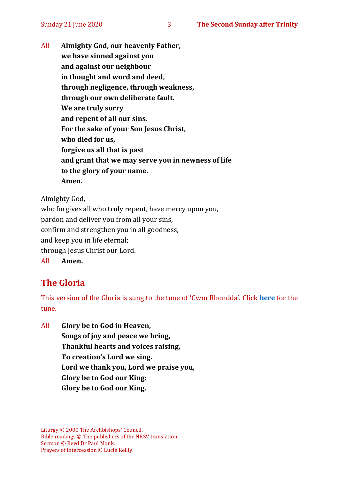All **Almighty God, our heavenly Father, we have sinned against you and against our neighbour in thought and word and deed, through negligence, through weakness, through our own deliberate fault. We are truly sorry and repent of all our sins. For the sake of your Son Jesus Christ, who died for us, forgive us all that is past and grant that we may serve you in newness of life to the glory of your name. Amen.**

Almighty God,

who forgives all who truly repent, have mercy upon you, pardon and deliver you from all your sins, confirm and strengthen you in all goodness, and keep you in life eternal; through Jesus Christ our Lord. All **Amen.**

# **The Gloria**

This version of the Gloria is sung to the tune of 'Cwm Rhondda'. Click **[here](about:blank)** for the tune.

All **Glory be to God in Heaven, Songs of joy and peace we bring, Thankful hearts and voices raising, To creation's Lord we sing. Lord we thank you, Lord we praise you, Glory be to God our King: Glory be to God our King.**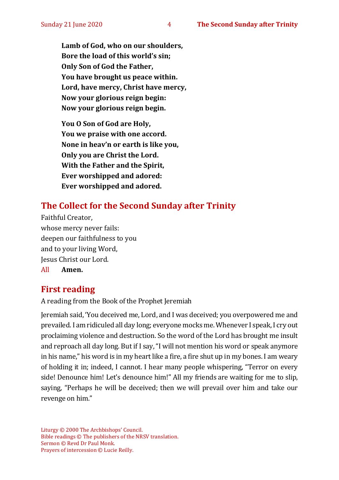**Lamb of God, who on our shoulders, Bore the load of this world's sin; Only Son of God the Father, You have brought us peace within. Lord, have mercy, Christ have mercy, Now your glorious reign begin: Now your glorious reign begin.**

**You O Son of God are Holy, You we praise with one accord. None in heav'n or earth is like you, Only you are Christ the Lord. With the Father and the Spirit, Ever worshipped and adored: Ever worshipped and adored.**

# **The Collect for the Second Sunday after Trinity**

Faithful Creator, whose mercy never fails: deepen our faithfulness to you and to your living Word, Jesus Christ our Lord. All **Amen.**

# **First reading**

A reading from the Book of the Prophet Jeremiah

Jeremiah said, 'You deceived me, Lord, and I was deceived; you overpowered me and prevailed. I am ridiculed all day long; everyone mocks me. Whenever I speak, I cry out proclaiming violence and destruction. So the word of the Lord has brought me insult and reproach all day long. But if I say, "I will not mention his word or speak anymore in his name," his word is in my heart like a fire, a fire shut up in my bones. I am weary of holding it in; indeed, I cannot. I hear many people whispering, "Terror on every side! Denounce him! Let's denounce him!" All my friends are waiting for me to slip, saying, "Perhaps he will be deceived; then we will prevail over him and take our revenge on him."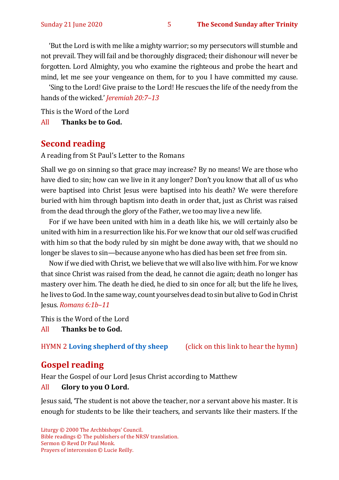'But the Lord is with me like a mighty warrior; so my persecutors will stumble and not prevail. They will fail and be thoroughly disgraced; their dishonour will never be forgotten. Lord Almighty, you who examine the righteous and probe the heart and mind, let me see your vengeance on them, for to you I have committed my cause.

'Sing to the Lord! Give praise to the Lord! He rescues the life of the needy from the hands of the wicked.' *Jeremiah 20:7–13*

This is the Word of the Lord

All **Thanks be to God.**

#### **Second reading**

A reading from St Paul's Letter to the Romans

Shall we go on sinning so that grace may increase? By no means! We are those who have died to sin; how can we live in it any longer? Don't you know that all of us who were baptised into Christ Jesus were baptised into his death? We were therefore buried with him through baptism into death in order that, just as Christ was raised from the dead through the glory of the Father, we too may live a new life.

For if we have been united with him in a death like his, we will certainly also be united with him in a resurrection like his.For we know that our old self was crucified with him so that the body ruled by sin might be done away with, that we should no longer be slaves to sin—because anyone who has died has been set free from sin.

Now if we died with Christ, we believe that we will also live with him. For we know that since Christ was raised from the dead, he cannot die again; death no longer has mastery over him. The death he died, he died to sin once for all; but the life he lives, he lives to God. In the same way, count yourselves dead to sin but alive to God in Christ Jesus. *Romans 6:1b–11*

This is the Word of the Lord All **Thanks be to God.**

HYMN 2 **[Loving shepherd of thy sheep](https://www.youtube.com/watch?v=H6e2bFhvpGs&list=RDH6e2bFhvpGs&start_radio=1)** (click on this link to hear the hymn)

## **Gospel reading**

Hear the Gospel of our Lord Jesus Christ according to Matthew

#### All **Glory to you O Lord.**

Jesus said, 'The student is not above the teacher, nor a servant above his master. It is enough for students to be like their teachers, and servants like their masters. If the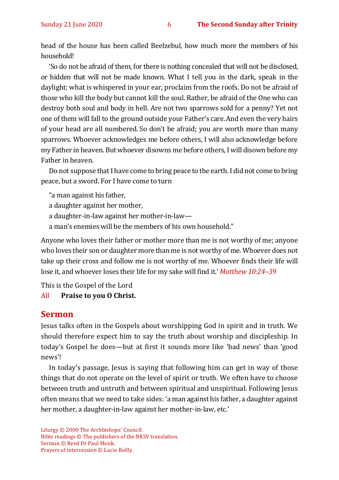head of the house has been called Beelzebul, how much more the members of his household!

'So do not be afraid of them, for there is nothing concealed that will not be disclosed, or hidden that will not be made known. What I tell you in the dark, speak in the daylight; what is whispered in your ear, proclaim from the roofs. Do not be afraid of those who kill the body but cannot kill the soul. Rather, be afraid of the One who can destroy both soul and body in hell. Are not two sparrows sold for a penny? Yet not one of them will fall to the ground outside your Father's care.And even the very hairs of your head are all numbered. So don't be afraid; you are worth more than many sparrows. Whoever acknowledges me before others, I will also acknowledge before my Father in heaven. But whoever disowns me before others, I will disown before my Father in heaven.

Do not suppose that I have come to bring peace to the earth. I did not come to bring peace, but a sword. For I have come to turn

"a man against his father,

a daughter against her mother,

- a daughter-in-law against her mother-in-law—
- a man's enemies will be the members of his own household."

Anyone who loves their father or mother more than me is not worthy of me; anyone who loves their son or daughter more than me is not worthy of me. Whoever does not take up their cross and follow me is not worthy of me. Whoever finds their life will lose it, and whoever loses their life for my sake will find it.' *Matthew 10:24–39*

This is the Gospel of the Lord

#### All **Praise to you O Christ.**

#### **Sermon**

Jesus talks often in the Gospels about worshipping God in spirit and in truth. We should therefore expect him to say the truth about worship and discipleship. In today's Gospel he does—but at first it sounds more like 'bad news' than 'good news'!

In today's passage, Jesus is saying that following him can get in way of those things that do not operate on the level of spirit or truth. We often have to choose between truth and untruth and between spiritual and unspiritual. Following Jesus often means that we need to take sides: 'a man against his father, a daughter against her mother, a daughter-in-law against her mother-in-law, etc.'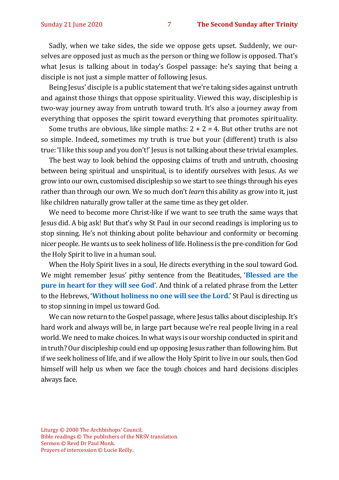Sadly, when we take sides, the side we oppose gets upset. Suddenly, we ourselves are opposed just as much as the person or thing we follow is opposed. That's what Jesus is talking about in today's Gospel passage: he's saying that being a disciple is not just a simple matter of following Jesus.

Being Jesus' disciple is a public statement that we're taking sides against untruth and against those things that oppose spirituality. Viewed this way, discipleship is two-way journey away from untruth toward truth. It's also a journey away from everything that opposes the spirit toward everything that promotes spirituality.

Some truths are obvious, like simple maths:  $2 + 2 = 4$ . But other truths are not so simple. Indeed, sometimes my truth is true but your (different) truth is also true: 'I like this soup and you don't!' Jesus is not talking about these trivial examples.

The best way to look behind the opposing claims of truth and untruth, choosing between being spiritual and unspiritual, is to identify ourselves with Jesus. As we grow into our own, customised discipleship so we start to see things through his eyes rather than through our own. We so much don't *learn* this ability as grow into it, just like children naturally grow taller at the same time as they get older.

We need to become more Christ-like if we want to see truth the same ways that Jesus did. A big ask! But that's why St Paul in our second readings is imploring us to stop sinning. He's not thinking about polite behaviour and conformity or becoming nicer people. He wants us to seek holiness of life. Holiness is the pre-condition for God the Holy Spirit to live in a human soul.

When the Holy Spirit lives in a soul, He directs everything in the soul toward God. We might remember Jesus' pithy sentence from the Beatitudes, '**[Blessed are the](https://biblehub.com/matthew/5-8.htm)  [pure in heart for they will see God](https://biblehub.com/matthew/5-8.htm)**'. And think of a related phrase from the Letter to the Hebrews, '**[Without holiness no one will see the Lord](https://biblehub.com/hebrews/12-14.htm)**.' St Paul is directing us to stop sinning in impel us toward God.

We can now return to the Gospel passage, where Jesus talks about discipleship. It's hard work and always will be, in large part because we're real people living in a real world. We need to make choices. In what ways is our worship conducted in spirit and in truth? Our discipleship could end up opposing Jesus rather than following him. But if we seek holiness of life, and if we allow the Holy Spirit to live in our souls, then God himself will help us when we face the tough choices and hard decisions disciples always face.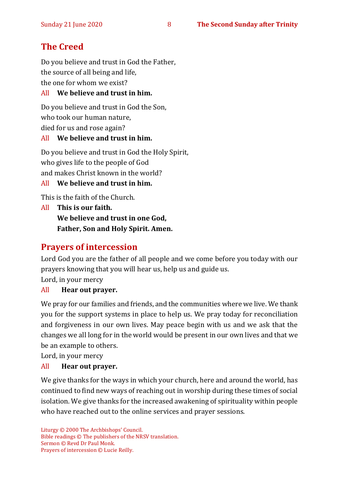# **The Creed**

Do you believe and trust in God the Father, the source of all being and life, the one for whom we exist?

#### All **We believe and trust in him.**

Do you believe and trust in God the Son, who took our human nature, died for us and rose again?

#### All **We believe and trust in him.**

Do you believe and trust in God the Holy Spirit, who gives life to the people of God and makes Christ known in the world?

#### All **We believe and trust in him.**

This is the faith of the Church.

All **This is our faith. We believe and trust in one God, Father, Son and Holy Spirit. Amen.**

## **Prayers of intercession**

Lord God you are the father of all people and we come before you today with our prayers knowing that you will hear us, help us and guide us.

Lord, in your mercy

#### All **Hear out prayer.**

We pray for our families and friends, and the communities where we live. We thank you for the support systems in place to help us. We pray today for reconciliation and forgiveness in our own lives. May peace begin with us and we ask that the changes we all long for in the world would be present in our own lives and that we be an example to others.

Lord, in your mercy

#### All **Hear out prayer.**

We give thanks for the ways in which your church, here and around the world, has continued to find new ways of reaching out in worship during these times of social isolation. We give thanks for the increased awakening of spirituality within people who have reached out to the online services and prayer sessions.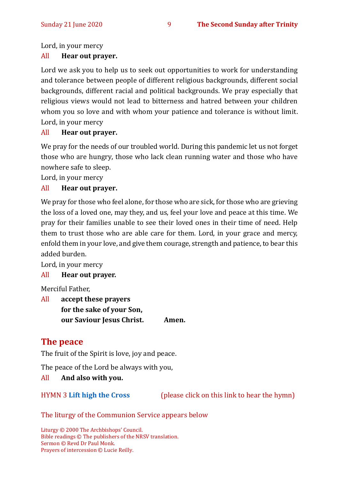Lord, in your mercy

#### All **Hear out prayer.**

Lord we ask you to help us to seek out opportunities to work for understanding and tolerance between people of different religious backgrounds, different social backgrounds, different racial and political backgrounds. We pray especially that religious views would not lead to bitterness and hatred between your children whom you so love and with whom your patience and tolerance is without limit. Lord, in your mercy

#### All **Hear out prayer.**

We pray for the needs of our troubled world. During this pandemic let us not forget those who are hungry, those who lack clean running water and those who have nowhere safe to sleep.

Lord, in your mercy

#### All **Hear out prayer.**

We pray for those who feel alone, for those who are sick, for those who are grieving the loss of a loved one, may they, and us, feel your love and peace at this time. We pray for their families unable to see their loved ones in their time of need. Help them to trust those who are able care for them. Lord, in your grace and mercy, enfold them in your love, and give them courage, strength and patience, to bear this added burden.

Lord, in your mercy

#### All **Hear out prayer.**

Merciful Father,

All **accept these prayers for the sake of your Son, our Saviour Jesus Christ. Amen.**

# **The peace**

The fruit of the Spirit is love, joy and peace.

The peace of the Lord be always with you,

#### All **And also with you.**

HYMN 3 **[Lift high the Cross](https://www.youtube.com/watch?v=GbcBXYP4AlE)** (please click on this link to hear the hymn)

The liturgy of the Communion Service appears below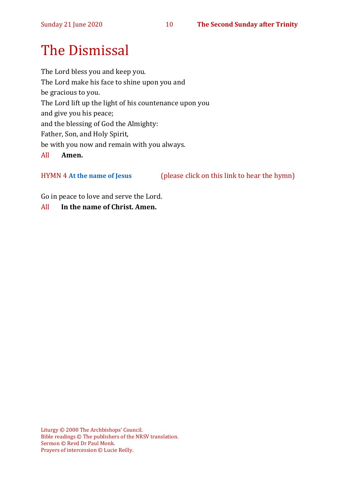# The Dismissal

The Lord bless you and keep you. The Lord make his face to shine upon you and be gracious to you. The Lord lift up the light of his countenance upon you and give you his peace; and the blessing of God the Almighty: Father, Son, and Holy Spirit, be with you now and remain with you always. All **Amen.**

HYMN 4 **[At the name of Jesus](https://www.youtube.com/watch?v=Mz6xfmRC8KA)** (please click on this link to hear the hymn)

Go in peace to love and serve the Lord.

All **In the name of Christ. Amen.**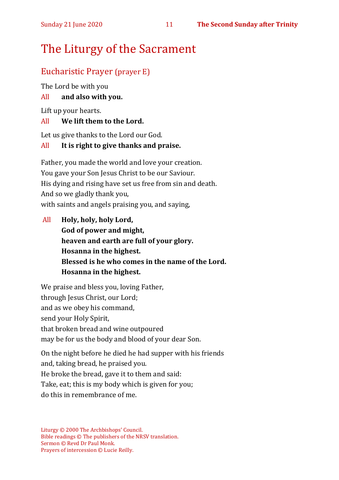# The Liturgy of the Sacrament

# Eucharistic Prayer (prayer E)

The Lord be with you

### All **and also with you.**

Lift up your hearts.

#### All **We lift them to the Lord.**

Let us give thanks to the Lord our God.

### All **It is right to give thanks and praise.**

Father, you made the world and love your creation. You gave your Son Jesus Christ to be our Saviour. His dying and rising have set us free from sin and death. And so we gladly thank you, with saints and angels praising you, and saying,

All **Holy, holy, holy Lord, God of power and might, heaven and earth are full of your glory. Hosanna in the highest. Blessed is he who comes in the name of the Lord. Hosanna in the highest.**

We praise and bless you, loving Father, through Jesus Christ, our Lord; and as we obey his command, send your Holy Spirit, that broken bread and wine outpoured may be for us the body and blood of your dear Son.

On the night before he died he had supper with his friends and, taking bread, he praised you. He broke the bread, gave it to them and said: Take, eat; this is my body which is given for you; do this in remembrance of me.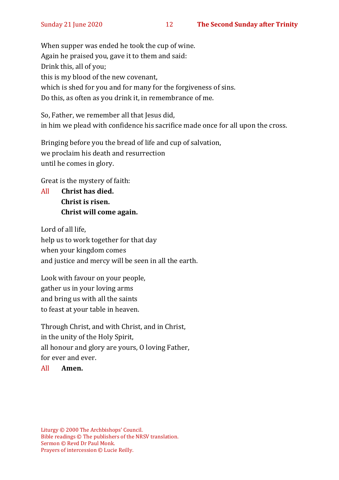When supper was ended he took the cup of wine. Again he praised you, gave it to them and said: Drink this, all of you; this is my blood of the new covenant, which is shed for you and for many for the forgiveness of sins. Do this, as often as you drink it, in remembrance of me.

So, Father, we remember all that Jesus did, in him we plead with confidence his sacrifice made once for all upon the cross.

Bringing before you the bread of life and cup of salvation, we proclaim his death and resurrection until he comes in glory.

Great is the mystery of faith:

All **Christ has died. Christ is risen. Christ will come again.**

Lord of all life, help us to work together for that day when your kingdom comes and justice and mercy will be seen in all the earth.

Look with favour on your people, gather us in your loving arms and bring us with all the saints to feast at your table in heaven.

Through Christ, and with Christ, and in Christ, in the unity of the Holy Spirit, all honour and glory are yours, O loving Father, for ever and ever.

#### All **Amen.**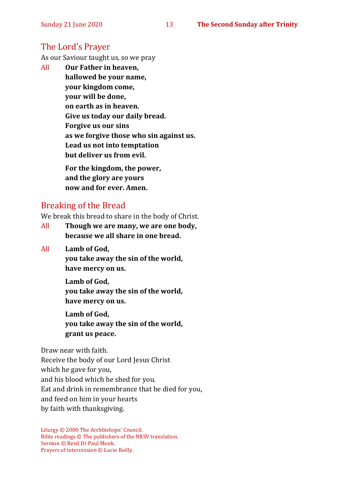# The Lord's Prayer

As our Saviour taught us, so we pray

All **Our Father in heaven, hallowed be your name, your kingdom come, your will be done, on earth as in heaven. Give us today our daily bread. Forgive us our sins as we forgive those who sin against us. Lead us not into temptation but deliver us from evil. For the kingdom, the power, and the glory are yours**

**now and for ever. Amen.**

# Breaking of the Bread

We break this bread to share in the body of Christ.

- All **Though we are many, we are one body, because we all share in one bread.**
- All **Lamb of God,**

**you take away the sin of the world, have mercy on us.**

**Lamb of God, you take away the sin of the world, have mercy on us.**

**Lamb of God, you take away the sin of the world, grant us peace.**

Draw near with faith.

Receive the body of our Lord Jesus Christ

which he gave for you,

and his blood which he shed for you.

Eat and drink in remembrance that he died for you,

and feed on him in your hearts

by faith with thanksgiving.